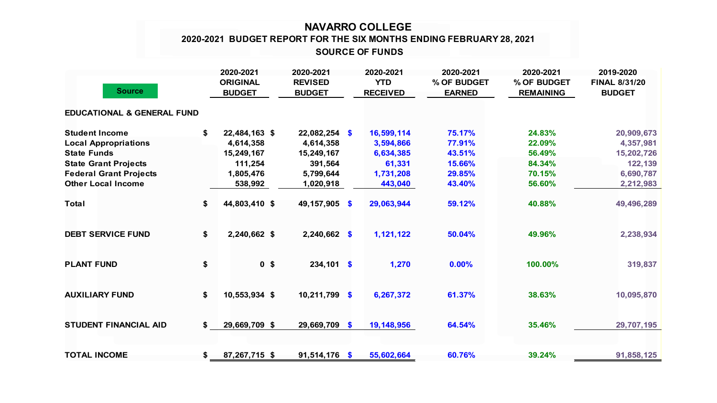## **NAVARRO COLLEGE SOURCE OF FUNDS 2020-2021 BUDGET REPORT FOR THE SIX MONTHS ENDING FEBRUARY 28, 2021**

| <b>Source</b>                                                                                                                                                           |    | 2020-2021<br><b>ORIGINAL</b><br><b>BUDGET</b>                               | 2020-2021<br><b>REVISED</b><br><b>BUDGET</b>                                    | 2020-2021<br><b>YTD</b><br><b>RECEIVED</b>                             | 2020-2021<br>% OF BUDGET<br><b>EARNED</b>                | 2020-2021<br>% OF BUDGET<br><b>REMAINING</b>             | 2019-2020<br><b>FINAL 8/31/20</b><br><b>BUDGET</b>                         |
|-------------------------------------------------------------------------------------------------------------------------------------------------------------------------|----|-----------------------------------------------------------------------------|---------------------------------------------------------------------------------|------------------------------------------------------------------------|----------------------------------------------------------|----------------------------------------------------------|----------------------------------------------------------------------------|
| <b>EDUCATIONAL &amp; GENERAL FUND</b>                                                                                                                                   |    |                                                                             |                                                                                 |                                                                        |                                                          |                                                          |                                                                            |
| <b>Student Income</b><br><b>Local Appropriations</b><br><b>State Funds</b><br><b>State Grant Projects</b><br><b>Federal Grant Projects</b><br><b>Other Local Income</b> | \$ | 22,484,163 \$<br>4,614,358<br>15,249,167<br>111,254<br>1,805,476<br>538,992 | $22,082,254$ \$<br>4,614,358<br>15,249,167<br>391,564<br>5,799,644<br>1,020,918 | 16,599,114<br>3,594,866<br>6,634,385<br>61,331<br>1,731,208<br>443,040 | 75.17%<br>77.91%<br>43.51%<br>15.66%<br>29.85%<br>43.40% | 24.83%<br>22.09%<br>56.49%<br>84.34%<br>70.15%<br>56.60% | 20,909,673<br>4,357,981<br>15,202,726<br>122,139<br>6,690,787<br>2,212,983 |
| <b>Total</b>                                                                                                                                                            | \$ | 44,803,410 \$                                                               | 49,157,905 \$                                                                   | 29,063,944                                                             | 59.12%                                                   | 40.88%                                                   | 49,496,289                                                                 |
| <b>DEBT SERVICE FUND</b>                                                                                                                                                | \$ | 2,240,662 \$                                                                | $2,240,662$ \$                                                                  | 1,121,122                                                              | 50.04%                                                   | 49.96%                                                   | 2,238,934                                                                  |
| <b>PLANT FUND</b>                                                                                                                                                       | \$ | 0 <sup>5</sup>                                                              | $234,101$ \$                                                                    | 1,270                                                                  | 0.00%                                                    | 100.00%                                                  | 319,837                                                                    |
| <b>AUXILIARY FUND</b>                                                                                                                                                   | \$ | 10,553,934 \$                                                               | $10,211,799$ \$                                                                 | 6,267,372                                                              | 61.37%                                                   | 38.63%                                                   | 10,095,870                                                                 |
| <b>STUDENT FINANCIAL AID</b>                                                                                                                                            | S. | 29,669,709 \$                                                               | 29,669,709 \$                                                                   | 19,148,956                                                             | 64.54%                                                   | 35.46%                                                   | 29,707,195                                                                 |
| <b>TOTAL INCOME</b>                                                                                                                                                     | \$ | 87,267,715 \$                                                               | $91,514,176$ \$                                                                 | 55,602,664                                                             | 60.76%                                                   | 39.24%                                                   | 91,858,125                                                                 |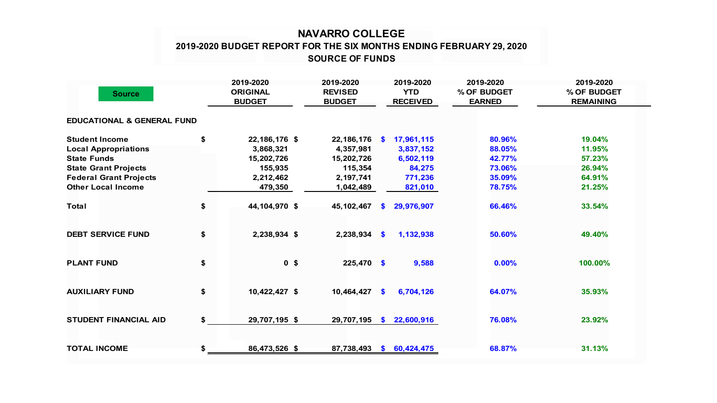## **NAVARRO COLLEGE 2019-2020 BUDGET REPORT FOR THE SIX MONTHS ENDING FEBRUARY 29, 2020 SOURCE OF FUNDS**

| <b>Source</b>                         |    | 2019-2020<br><b>ORIGINAL</b><br><b>BUDGET</b> | 2019-2020<br><b>REVISED</b><br><b>BUDGET</b> |              | 2019-2020<br><b>YTD</b><br><b>RECEIVED</b> | 2019-2020<br>% OF BUDGET<br><b>EARNED</b> | 2019-2020<br>% OF BUDGET<br><b>REMAINING</b> |  |
|---------------------------------------|----|-----------------------------------------------|----------------------------------------------|--------------|--------------------------------------------|-------------------------------------------|----------------------------------------------|--|
| <b>EDUCATIONAL &amp; GENERAL FUND</b> |    |                                               |                                              |              |                                            |                                           |                                              |  |
| <b>Student Income</b>                 | \$ | 22,186,176 \$                                 | 22,186,176 \$                                |              | 17,961,115                                 | 80.96%                                    | 19.04%                                       |  |
| <b>Local Appropriations</b>           |    | 3,868,321                                     | 4,357,981                                    |              | 3,837,152                                  | 88.05%                                    | 11.95%                                       |  |
| <b>State Funds</b>                    |    | 15,202,726                                    | 15,202,726                                   |              | 6,502,119                                  | 42.77%                                    | 57.23%                                       |  |
| <b>State Grant Projects</b>           |    | 155,935                                       | 115,354                                      |              | 84,275                                     | 73.06%                                    | 26.94%                                       |  |
| <b>Federal Grant Projects</b>         |    | 2,212,462                                     | 2,197,741                                    |              | 771,236                                    | 35.09%                                    | 64.91%                                       |  |
| <b>Other Local Income</b>             |    | 479,350                                       | 1,042,489                                    |              | 821,010                                    | 78.75%                                    | 21.25%                                       |  |
| <b>Total</b>                          | \$ | 44,104,970 \$                                 | 45, 102, 467                                 | <b>S</b>     | 29,976,907                                 | 66.46%                                    | 33.54%                                       |  |
| <b>DEBT SERVICE FUND</b>              | \$ | 2,238,934 \$                                  | 2,238,934 \$                                 |              | 1,132,938                                  | 50.60%                                    | 49.40%                                       |  |
| <b>PLANT FUND</b>                     | \$ | 0 <sup>5</sup>                                | 225,470 \$                                   |              | 9,588                                      | 0.00%                                     | 100.00%                                      |  |
| <b>AUXILIARY FUND</b>                 | \$ | 10,422,427 \$                                 | 10,464,427                                   | $\mathbf{s}$ | 6,704,126                                  | 64.07%                                    | 35.93%                                       |  |
| <b>STUDENT FINANCIAL AID</b>          | \$ | 29,707,195 \$                                 | 29,707,195                                   | <b>S</b>     | 22,600,916                                 | 76.08%                                    | 23.92%                                       |  |
| <b>TOTAL INCOME</b>                   | \$ | 86,473,526 \$                                 | 87,738,493                                   |              | \$60,424,475                               | 68.87%                                    | 31.13%                                       |  |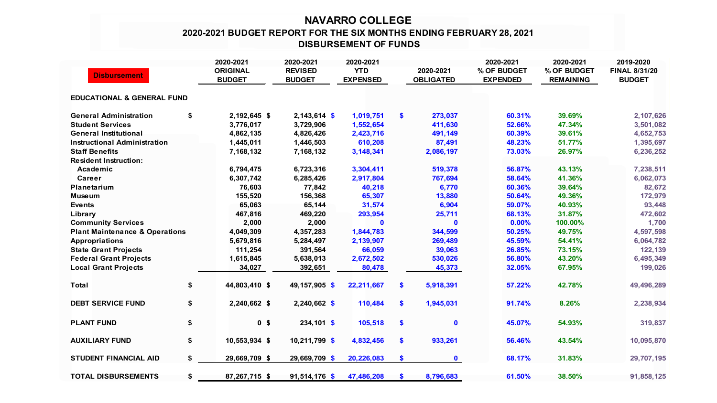## **NAVARRO COLLEGE 2020-2021 BUDGET REPORT FOR THE SIX MONTHS ENDING FEBRUARY 28, 2021 DISBURSEMENT OF FUNDS**

|                                                       |    | 2020-2021                        | 2020-2021                       | 2020-2021                     |                               | 2020-2021                      | 2020-2021                       | 2019-2020                             |
|-------------------------------------------------------|----|----------------------------------|---------------------------------|-------------------------------|-------------------------------|--------------------------------|---------------------------------|---------------------------------------|
| <b>Disbursement</b>                                   |    | <b>ORIGINAL</b><br><b>BUDGET</b> | <b>REVISED</b><br><b>BUDGET</b> | <b>YTD</b><br><b>EXPENSED</b> | 2020-2021<br><b>OBLIGATED</b> | % OF BUDGET<br><b>EXPENDED</b> | % OF BUDGET<br><b>REMAINING</b> | <b>FINAL 8/31/20</b><br><b>BUDGET</b> |
| <b>EDUCATIONAL &amp; GENERAL FUND</b>                 |    |                                  |                                 |                               |                               |                                |                                 |                                       |
| <b>General Administration</b>                         | \$ | 2,192,645 \$                     | $2,143,614$ \$                  | 1,019,751                     | \$<br>273,037                 | 60.31%                         | 39.69%                          | 2,107,626                             |
| <b>Student Services</b>                               |    | 3,776,017                        | 3,729,906                       | 1,552,654                     | 411,630                       | 52.66%                         | 47.34%                          | 3,501,082                             |
| <b>General Institutional</b>                          |    | 4,862,135                        | 4,826,426                       | 2,423,716                     | 491,149                       | 60.39%                         | 39.61%                          | 4,652,753                             |
| <b>Instructional Administration</b>                   |    | 1,445,011                        | 1,446,503                       | 610,208                       | 87,491                        | 48.23%                         | 51.77%                          | 1,395,697                             |
| <b>Staff Benefits</b><br><b>Resident Instruction:</b> |    | 7,168,132                        | 7,168,132                       | 3,148,341                     | 2,086,197                     | 73.03%                         | 26.97%                          | 6,236,252                             |
| Academic                                              |    | 6,794,475                        | 6,723,316                       | 3,304,411                     | 519,378                       | 56.87%                         | 43.13%                          | 7,238,511                             |
| Career                                                |    | 6,307,742                        | 6,285,426                       | 2,917,804                     | 767,694                       | 58.64%                         | 41.36%                          | 6,062,073                             |
| Planetarium                                           |    | 76,603                           | 77,842                          | 40,218                        | 6,770                         | 60.36%                         | 39.64%                          | 82,672                                |
| <b>Museum</b>                                         |    | 155,520                          | 156,368                         | 65,307                        | 13,880                        | 50.64%                         | 49.36%                          | 172,979                               |
| <b>Events</b>                                         |    | 65,063                           | 65,144                          | 31,574                        | 6,904                         | 59.07%                         | 40.93%                          | 93,448                                |
| Library                                               |    | 467,816                          | 469,220                         | 293,954                       | 25,711                        | 68.13%                         | 31.87%                          | 472,602                               |
| <b>Community Services</b>                             |    | 2,000                            | 2,000                           | $\mathbf{0}$                  | $\mathbf 0$                   | 0.00%                          | 100.00%                         | 1,700                                 |
| <b>Plant Maintenance &amp; Operations</b>             |    | 4,049,309                        | 4,357,283                       | 1,844,783                     | 344,599                       | 50.25%                         | 49.75%                          | 4,597,598                             |
| <b>Appropriations</b>                                 |    | 5,679,816                        | 5,284,497                       | 2,139,907                     | 269,489                       | 45.59%                         | 54.41%                          | 6,064,782                             |
| <b>State Grant Projects</b>                           |    | 111,254                          | 391,564                         | 66,059                        | 39,063                        | 26.85%                         | 73.15%                          | 122,139                               |
| <b>Federal Grant Projects</b>                         |    | 1,615,845                        | 5,638,013                       | 2,672,502                     | 530,026                       | 56.80%                         | 43.20%                          | 6,495,349                             |
| <b>Local Grant Projects</b>                           |    | 34,027                           | 392,651                         | 80,478                        | 45,373                        | 32.05%                         | 67.95%                          | 199,026                               |
| <b>Total</b>                                          | \$ | 44,803,410 \$                    | 49,157,905 \$                   | 22,211,667                    | \$<br>5,918,391               | 57.22%                         | 42.78%                          | 49,496,289                            |
| <b>DEBT SERVICE FUND</b>                              | \$ | 2,240,662 \$                     | 2,240,662 \$                    | 110,484                       | \$<br>1,945,031               | 91.74%                         | 8.26%                           | 2,238,934                             |
| <b>PLANT FUND</b>                                     | \$ | 0 <sup>5</sup>                   | $234,101$ \$                    | 105,518                       | \$<br>$\mathbf 0$             | 45.07%                         | 54.93%                          | 319,837                               |
| <b>AUXILIARY FUND</b>                                 | \$ | 10,553,934 \$                    | 10,211,799 \$                   | 4,832,456                     | \$<br>933,261                 | 56.46%                         | 43.54%                          | 10,095,870                            |
| <b>STUDENT FINANCIAL AID</b>                          | \$ | 29,669,709 \$                    | 29,669,709 \$                   | 20,226,083                    | \$<br>$\mathbf 0$             | 68.17%                         | 31.83%                          | 29,707,195                            |
| <b>TOTAL DISBURSEMENTS</b>                            | \$ | 87,267,715 \$                    | 91,514,176 \$                   | 47,486,208                    | \$<br>8,796,683               | 61.50%                         | 38.50%                          | 91,858,125                            |